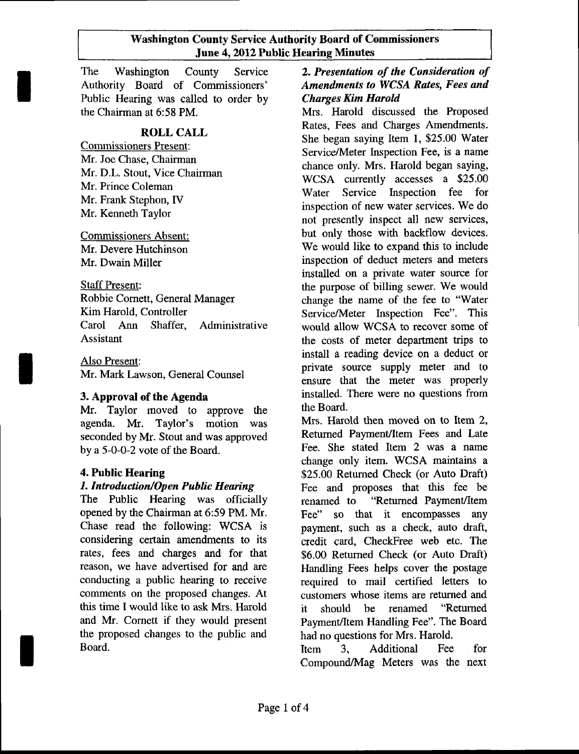#### Washington County Service Authority Board of Commissioners June 4,2012 Public Hearing Minutes

The Washington County Service Authority Board of Commissioners' Public Hearing was called to order by the Chairman at 6:58 PM.

# ROLL CALL

Commissioners Present: Mr. Joe Chase, Chairman Mr. D.L. Stout, Vice Chairman Mr. Prince Coleman Mr. Frank Stephon, IV Mr. Kenneth Taylor

Commissioners Absent: Mr. Devere Hutchinson Mr. Dwain Miller

Staff Present:

Robbie Cornett, General Manager Kim Harold, Controller Carol Ann Shaffer, Administrative Assistant

Also Present: Mr. Mark Lawson, General Counsel

# 3. Approval of the Agenda

Mr. Taylor moved to approve the agenda. Mr. Taylor's motion was seconded by Mr. Stout and was approved by a 5-0-0-2 vote of the Board.

## 4. Public Hearing

## 1. Introduction/Open Public Hearing

The Public Hearing was officially opened by the Chairman at 6:59 PM. Mr. Chase read the following: WCSA is considering certain amendments to its rates, fees and charges and for that reason. we have advertised for and are conducting a public hearing to receive comments on the proposed changes. At this time I would like to ask Mrs. Harold and Mr. Comett if they would present the proposed changes to the public and Board.

# 2. Presentation of the Consideration of Amendments to WCSA Rates, Fees and Charges Kim Harold

Mrs. Harold discussed the Ptoposed Rates, Fees and Charges Amendments. She began saying Item l, \$25.00 Water Service/Meter Inspection Fee, is a name chance only. Mrs. Harold began saying, WCSA currently accesses a \$25.00 Water Service Inspection fee for inspection of new water services. We do not presently inspect all new services, but only those with backflow devices. We would like to expand this to include inspection of deduct meters and meters installed on a private water source for the purpose of billing sewer. We would change the name of the fee to "Water Service/Meter Inspection Fee". This would allow WCSA to recover some of the costs of meter department trips to install a reading device on a deduct or private source supply meter and to ensure that the meter was properly installed. There were no questions from the Board.

Mrs. Harold then moved on to Item 2, Returned Payment/Item Fees and Late Fee. She stated Item 2 was a name change only item. WCSA maintains a \$25.00 Retumed Check (or Auto Draft) Fee and proposes that this fee be renamed to "Retumed Payment/Item Fee" so that it encompasses any payment, such as a check, auto draft, credit card. CheckFree web etc. The \$6.00 Retumed Check (or Auto Draft) Handling Fees helps cover the postage required to mail certified letters to customers whose items are returned and it should be renamed "Returned" Payment/Item Handling Fee". The Board had no questions for Mrs. Harold.

Item 3. Additional Fee for Compound/Mag Meters was the next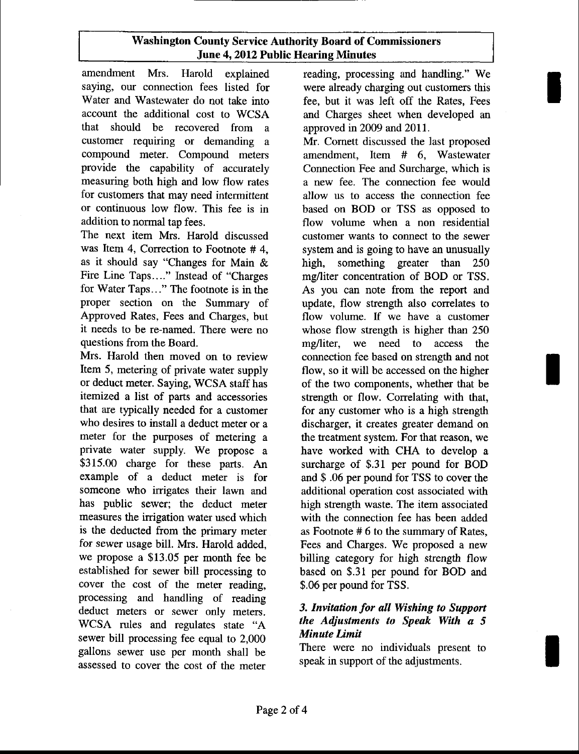# Washington County Service Authority Board of Commissioners June 4, 2012 Public Hearing Minutes

amendment Mrs. Harold explained saying, our connection fees listed for Water and Wastewater do not take into account the additional cost to WCSA that should be recovered from a customer requiring or demanding a compound meter. Compound meters provide the capability of accurately measuring both high and low flow rates for customers that may need intermittent or continuous low flow. This fee is in addition to normal tap fees.

The next item Mrs. Harold discussed was Item 4, Correction to Footnote # 4, as it should say "Changes for Main & Fire Line Taps...." Instead of "Charges for Water Taps..." The footnote is in the proper section on the Summary of Approved Rates, Fees and Charges, but it needs to be re-named. There were no questions from the Board.

Mrs. Harold then moved on to review Item 5, metering of private water supply or deduct meter. Saying, WCSA staff has itemized a list of parts and accessories that are typically needed for a customer who desires to install a deduct meter or a meter for the purposes of metering a private water supply. We propose a \$315.00 charge for these parts. An example of a deduct meter is for someone who irrigates their lawn and has public sewer; the deduct meter measures the irrigation water used which is the deducted from the primary meter fot sewer usage bill. Mrs. Harold added, we propose a \$13.05 per month fee be established for sewer bill processing to cover the cost of the meter reading, processing and handling of reading deduct meters or sewer only meters. WCSA rules and regulates state "A sewer bill processing fee equal to 2,000 gallons sewer use per month shall be assessed to cover the cost of the meter

reading, processing and handling." We were already charging out customers this fee, but it was left off the Rates, Fees and Charges sheet when developed an approved in 2009 and 2011.

Mr. Comett discussed the last proposed amendment, Item # 6, Wastewater Connection Fee and Surcharge, which is a new fee. The connection fee would allow us to access the connection fee based on BOD or TSS as opposed to flow volume when a non residential customer wants to connect to the sewer system and is going to have an unusually high, something greater than 250 mg/liter concentration of BOD or TSS. As you can note from the report and update, flow strength also correlates to flow volume. If we have a customer whose flow strength is higher than 250 mg/liter, we need to access the connection fee based on strength and not flow, so it will be accessed on the higher of the two components, whether that be strength or flow. Correlating with that, for any customer who is a high strength discharger, it creates greater demand on the treatment system. For that reason, we have worked with CHA to develop a surcharge of \$.31 per pound for BOD and \$ .06 per pound for TSS to cover the additional operation cost associated with high strength waste. The item associated with the connection fee has been added as Footnote # 6 to the summary of Rates, Fees and Charges. We proposed a new billing category for high strength flow based on \$.31 per pound for BOD and \$.06 per pound for TSS.

## 3. Invitation for all Wishing to Support the Adjustments to Speak With a 5 Minute Limit

There were no individuals present to speak in support of the adjustments.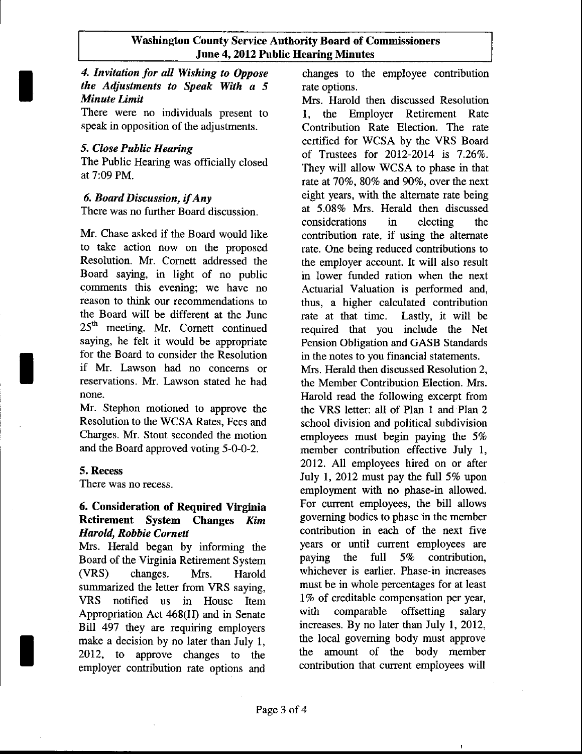#### Washington County Service Authority Board of Commissioners June 4,2012 Public Hearing Minutes

# 4. Invitation for all Wishing to Oppose the Adjustments to Speak With a 5 Minate Limit

There were no individuals present to speak in opposition of the adjustments.

## 5. Close Public Hearing

t

The Public Hearing was officially closed at 7:09 PM.

# 6. Board Discussion, if Any

There was no further Board discussion.

Mr. Chase asked if the Board would like to take action now on the proposed Resolution. Mr. Comett addressed the Board saying, in light of no public comments this evening; we have no reason to think our recommendations to the Board will be different at the June 25<sup>th</sup> meeting. Mr. Cornett continued saying, he felt it would be appropriate for the Board to consider the Resolution if Mr. Lawson had no concems or reservations. Mr. Lawson stated he had none.

Mr. Stephon motioned to approve the Resolution to the WCSA Rates, Fees and Charges. Mr. Stout seconded the motion and the Board approved voting 5-0-0-2.

#### 5. Recess

There was no recess.

#### 6. Consideration of Required Virginia Retirement System Changes Kim Harold, Robbie Cornett

Mrs. Herald began by informing the Board of the Virginia Retirement System (VRS) changes. Mrs. Harold summarized the letter from VRS saying, VRS notified us in House Item Appropriation Act 468(H) and in Senate Blll 497 they are requiring employers make a decision by no later than July 1, 2012, to approve changes to the employer contribution rate options and

changes to the employee contribution rate options.

Mrs. Harold then discussed Resolution 1, the Employer Retirement Rate Contribution Rate Election. The rate certified for WCSA by the VRS Board of Trustees for 2012-2014 is 7.26%. They will allow WCSA to phase in that rate at 70%, 80% and 90%, over the next eight years, with the altemate rate being at 5.08% Mrs. Herald then discussed considerations in electing the contribution rate, if using the altemate rate. One being reduced contributions to the employer account. It will also result in lower funded ration when the next Actuarial Valuation is performed and, thus, a higher calculated contribution rate at that time. Lastly, it will be required that you include the Net Pension Obligation and GASB Standards in the notes to you financial statements.

Mrs. Herald then discussed Resolution 2, the Member Contribution Election. Mrs. Harold read the following excerpt from the VRS letter: all of Plan I and Plan 2 school division and political subdivision employees must begin paying the 5% member contribution effective July 1, 2012. AII employees hired on or after July 1, 2012 must pay the full 5% upon employment with no phase-in allowed. For current employees, the bill allows governing bodies to phase in the member contribution in each of the next five years or until current employees are paying the full 5% contribution, whichever is earlier. Phase-in increases must be in whole percentages for at least 1% of creditable compensation per year, with comparable offsetting salary increases. By no later than July 1, 2012, the local goveming body must approve the amount of the body member contribution that current employees will

 $\overline{a}$